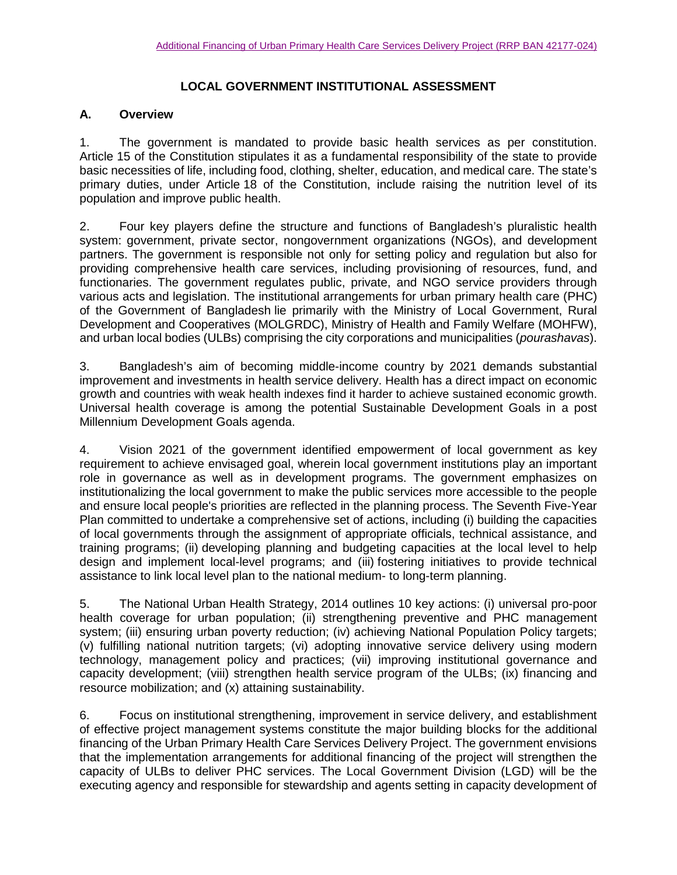## **LOCAL GOVERNMENT INSTITUTIONAL ASSESSMENT**

## **A. Overview**

1. The government is mandated to provide basic health services as per constitution. Article 15 of the Constitution stipulates it as a fundamental responsibility of the state to provide basic necessities of life, including food, clothing, shelter, education, and medical care. The state's primary duties, under Article 18 of the Constitution, include raising the nutrition level of its population and improve public health.

2. Four key players define the structure and functions of Bangladesh's pluralistic health system: government, private sector, nongovernment organizations (NGOs), and development partners. The government is responsible not only for setting policy and regulation but also for providing comprehensive health care services, including provisioning of resources, fund, and functionaries. The government regulates public, private, and NGO service providers through various acts and legislation. The institutional arrangements for urban primary health care (PHC) of the Government of Bangladesh lie primarily with the Ministry of Local Government, Rural Development and Cooperatives (MOLGRDC), Ministry of Health and Family Welfare (MOHFW), and urban local bodies (ULBs) comprising the city corporations and municipalities (*pourashavas*).

3. Bangladesh's aim of becoming middle-income country by 2021 demands substantial improvement and investments in health service delivery. Health has a direct impact on economic growth and countries with weak health indexes find it harder to achieve sustained economic growth. Universal health coverage is among the potential Sustainable Development Goals in a post Millennium Development Goals agenda.

4. Vision 2021 of the government identified empowerment of local government as key requirement to achieve envisaged goal, wherein local government institutions play an important role in governance as well as in development programs. The government emphasizes on institutionalizing the local government to make the public services more accessible to the people and ensure local people's priorities are reflected in the planning process. The Seventh Five-Year Plan committed to undertake a comprehensive set of actions, including (i) building the capacities of local governments through the assignment of appropriate officials, technical assistance, and training programs; (ii) developing planning and budgeting capacities at the local level to help design and implement local-level programs; and (iii) fostering initiatives to provide technical assistance to link local level plan to the national medium- to long-term planning.

5. The National Urban Health Strategy, 2014 outlines 10 key actions: (i) universal pro-poor health coverage for urban population; (ii) strengthening preventive and PHC management system; (iii) ensuring urban poverty reduction; (iv) achieving National Population Policy targets; (v) fulfilling national nutrition targets; (vi) adopting innovative service delivery using modern technology, management policy and practices; (vii) improving institutional governance and capacity development; (viii) strengthen health service program of the ULBs; (ix) financing and resource mobilization; and (x) attaining sustainability.

6. Focus on institutional strengthening, improvement in service delivery, and establishment of effective project management systems constitute the major building blocks for the additional financing of the Urban Primary Health Care Services Delivery Project. The government envisions that the implementation arrangements for additional financing of the project will strengthen the capacity of ULBs to deliver PHC services. The Local Government Division (LGD) will be the executing agency and responsible for stewardship and agents setting in capacity development of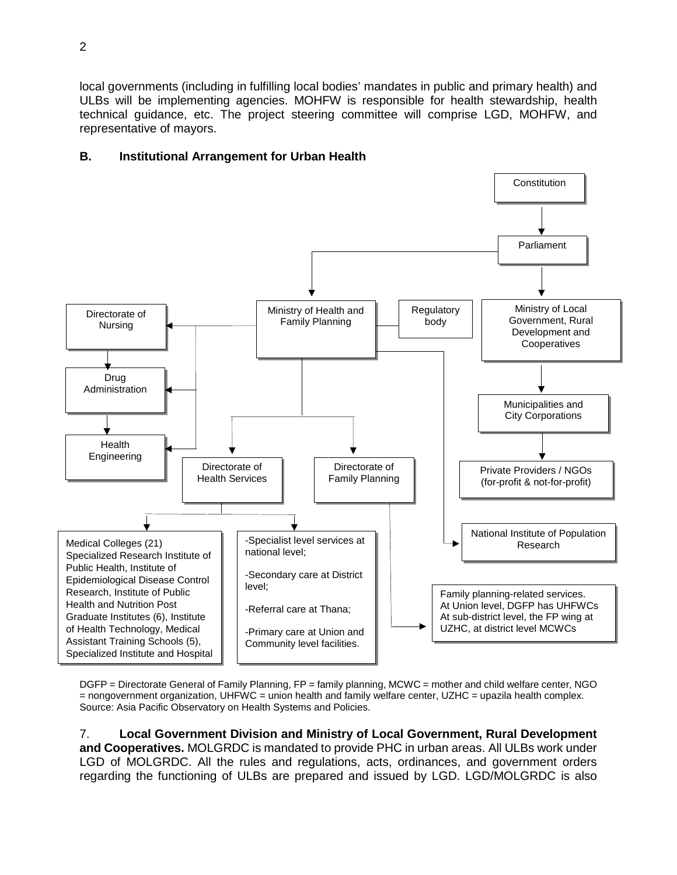local governments (including in fulfilling local bodies' mandates in public and primary health) and ULBs will be implementing agencies. MOHFW is responsible for health stewardship, health technical guidance, etc. The project steering committee will comprise LGD, MOHFW, and representative of mayors.



## **B. Institutional Arrangement for Urban Health**

DGFP = Directorate General of Family Planning, FP = family planning, MCWC = mother and child welfare center, NGO = nongovernment organization, UHFWC = union health and family welfare center, UZHC = upazila health complex. Source: Asia Pacific Observatory on Health Systems and Policies.

7. **Local Government Division and Ministry of Local Government, Rural Development and Cooperatives.** MOLGRDC is mandated to provide PHC in urban areas. All ULBs work under LGD of MOLGRDC. All the rules and regulations, acts, ordinances, and government orders regarding the functioning of ULBs are prepared and issued by LGD. LGD/MOLGRDC is also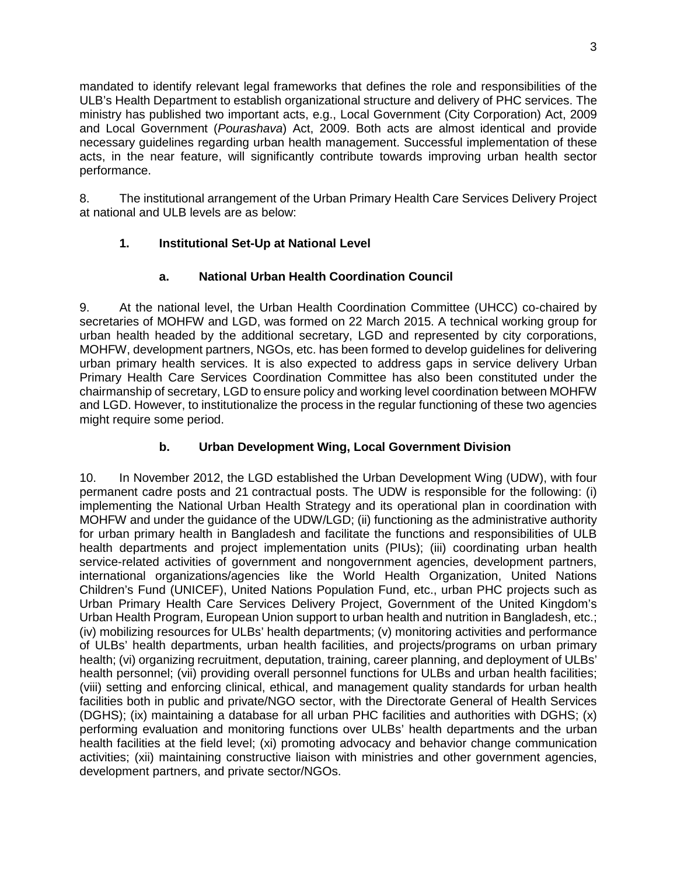mandated to identify relevant legal frameworks that defines the role and responsibilities of the ULB's Health Department to establish organizational structure and delivery of PHC services. The ministry has published two important acts, e.g., Local Government (City Corporation) Act, 2009 and Local Government (*Pourashava*) Act, 2009. Both acts are almost identical and provide necessary guidelines regarding urban health management. Successful implementation of these acts, in the near feature, will significantly contribute towards improving urban health sector performance.

8. The institutional arrangement of the Urban Primary Health Care Services Delivery Project at national and ULB levels are as below:

## **1. Institutional Set-Up at National Level**

## **a. National Urban Health Coordination Council**

9. At the national level, the Urban Health Coordination Committee (UHCC) co-chaired by secretaries of MOHFW and LGD, was formed on 22 March 2015. A technical working group for urban health headed by the additional secretary, LGD and represented by city corporations, MOHFW, development partners, NGOs, etc. has been formed to develop guidelines for delivering urban primary health services. It is also expected to address gaps in service delivery Urban Primary Health Care Services Coordination Committee has also been constituted under the chairmanship of secretary, LGD to ensure policy and working level coordination between MOHFW and LGD. However, to institutionalize the process in the regular functioning of these two agencies might require some period.

## **b. Urban Development Wing, Local Government Division**

10. In November 2012, the LGD established the Urban Development Wing (UDW), with four permanent cadre posts and 21 contractual posts. The UDW is responsible for the following: (i) implementing the National Urban Health Strategy and its operational plan in coordination with MOHFW and under the guidance of the UDW/LGD; (ii) functioning as the administrative authority for urban primary health in Bangladesh and facilitate the functions and responsibilities of ULB health departments and project implementation units (PIUs); (iii) coordinating urban health service-related activities of government and nongovernment agencies, development partners, international organizations/agencies like the World Health Organization, United Nations Children's Fund (UNICEF), United Nations Population Fund, etc., urban PHC projects such as Urban Primary Health Care Services Delivery Project, Government of the United Kingdom's Urban Health Program, European Union support to urban health and nutrition in Bangladesh, etc.; (iv) mobilizing resources for ULBs' health departments; (v) monitoring activities and performance of ULBs' health departments, urban health facilities, and projects/programs on urban primary health; (vi) organizing recruitment, deputation, training, career planning, and deployment of ULBs' health personnel; (vii) providing overall personnel functions for ULBs and urban health facilities; (viii) setting and enforcing clinical, ethical, and management quality standards for urban health facilities both in public and private/NGO sector, with the Directorate General of Health Services (DGHS); (ix) maintaining a database for all urban PHC facilities and authorities with DGHS; (x) performing evaluation and monitoring functions over ULBs' health departments and the urban health facilities at the field level; (xi) promoting advocacy and behavior change communication activities; (xii) maintaining constructive liaison with ministries and other government agencies, development partners, and private sector/NGOs.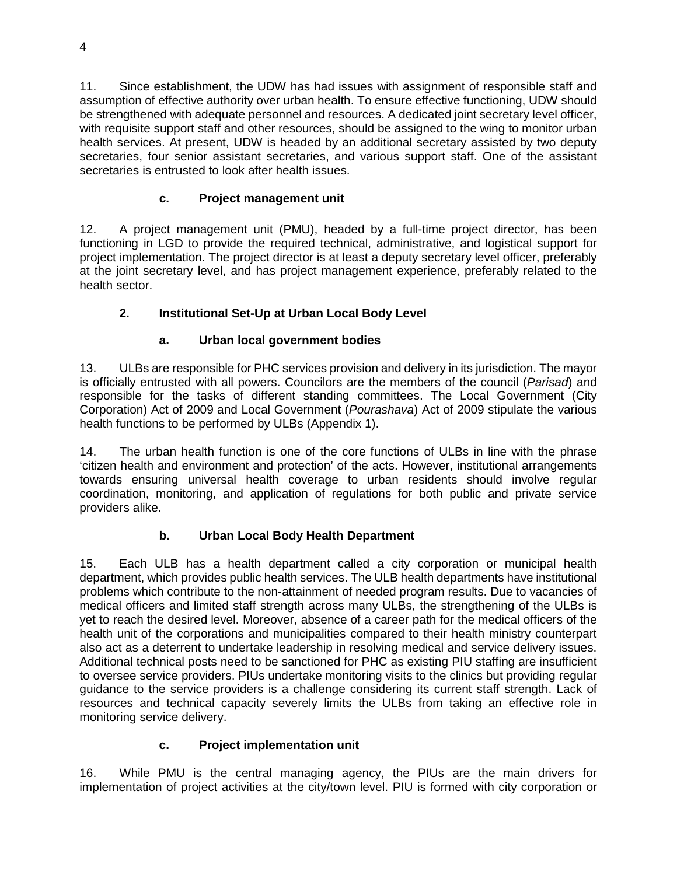11. Since establishment, the UDW has had issues with assignment of responsible staff and assumption of effective authority over urban health. To ensure effective functioning, UDW should be strengthened with adequate personnel and resources. A dedicated joint secretary level officer, with requisite support staff and other resources, should be assigned to the wing to monitor urban health services. At present, UDW is headed by an additional secretary assisted by two deputy secretaries, four senior assistant secretaries, and various support staff. One of the assistant secretaries is entrusted to look after health issues.

# **c. Project management unit**

12. A project management unit (PMU), headed by a full-time project director, has been functioning in LGD to provide the required technical, administrative, and logistical support for project implementation. The project director is at least a deputy secretary level officer, preferably at the joint secretary level, and has project management experience, preferably related to the health sector.

# **2. Institutional Set-Up at Urban Local Body Level**

# **a. Urban local government bodies**

13. ULBs are responsible for PHC services provision and delivery in its jurisdiction. The mayor is officially entrusted with all powers. Councilors are the members of the council (*Parisad*) and responsible for the tasks of different standing committees. The Local Government (City Corporation) Act of 2009 and Local Government (*Pourashava*) Act of 2009 stipulate the various health functions to be performed by ULBs (Appendix 1).

14. The urban health function is one of the core functions of ULBs in line with the phrase 'citizen health and environment and protection' of the acts. However, institutional arrangements towards ensuring universal health coverage to urban residents should involve regular coordination, monitoring, and application of regulations for both public and private service providers alike.

# **b. Urban Local Body Health Department**

15. Each ULB has a health department called a city corporation or municipal health department, which provides public health services. The ULB health departments have institutional problems which contribute to the non-attainment of needed program results. Due to vacancies of medical officers and limited staff strength across many ULBs, the strengthening of the ULBs is yet to reach the desired level. Moreover, absence of a career path for the medical officers of the health unit of the corporations and municipalities compared to their health ministry counterpart also act as a deterrent to undertake leadership in resolving medical and service delivery issues. Additional technical posts need to be sanctioned for PHC as existing PIU staffing are insufficient to oversee service providers. PIUs undertake monitoring visits to the clinics but providing regular guidance to the service providers is a challenge considering its current staff strength. Lack of resources and technical capacity severely limits the ULBs from taking an effective role in monitoring service delivery.

# **c. Project implementation unit**

16. While PMU is the central managing agency, the PIUs are the main drivers for implementation of project activities at the city/town level. PIU is formed with city corporation or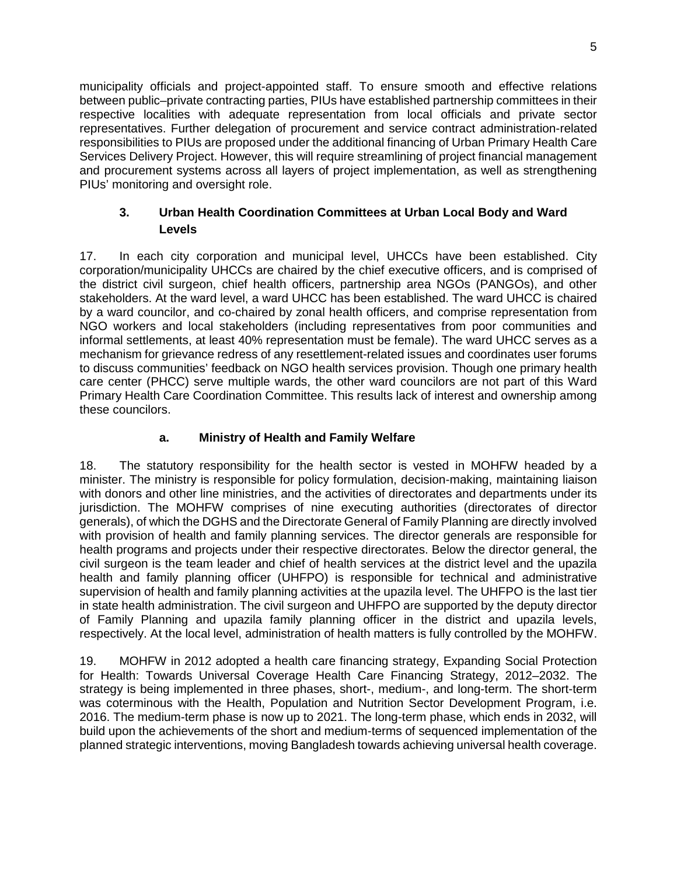municipality officials and project-appointed staff. To ensure smooth and effective relations between public–private contracting parties, PIUs have established partnership committees in their respective localities with adequate representation from local officials and private sector representatives. Further delegation of procurement and service contract administration-related responsibilities to PIUs are proposed under the additional financing of Urban Primary Health Care Services Delivery Project. However, this will require streamlining of project financial management and procurement systems across all layers of project implementation, as well as strengthening PIUs' monitoring and oversight role.

## **3. Urban Health Coordination Committees at Urban Local Body and Ward Levels**

17. In each city corporation and municipal level, UHCCs have been established. City corporation/municipality UHCCs are chaired by the chief executive officers, and is comprised of the district civil surgeon, chief health officers, partnership area NGOs (PANGOs), and other stakeholders. At the ward level, a ward UHCC has been established. The ward UHCC is chaired by a ward councilor, and co-chaired by zonal health officers, and comprise representation from NGO workers and local stakeholders (including representatives from poor communities and informal settlements, at least 40% representation must be female). The ward UHCC serves as a mechanism for grievance redress of any resettlement-related issues and coordinates user forums to discuss communities' feedback on NGO health services provision. Though one primary health care center (PHCC) serve multiple wards, the other ward councilors are not part of this Ward Primary Health Care Coordination Committee. This results lack of interest and ownership among these councilors.

## **a. Ministry of Health and Family Welfare**

18. The statutory responsibility for the health sector is vested in MOHFW headed by a minister. The ministry is responsible for policy formulation, decision-making, maintaining liaison with donors and other line ministries, and the activities of directorates and departments under its jurisdiction. The MOHFW comprises of nine executing authorities (directorates of director generals), of which the DGHS and the Directorate General of Family Planning are directly involved with provision of health and family planning services. The director generals are responsible for health programs and projects under their respective directorates. Below the director general, the civil surgeon is the team leader and chief of health services at the district level and the upazila health and family planning officer (UHFPO) is responsible for technical and administrative supervision of health and family planning activities at the upazila level. The UHFPO is the last tier in state health administration. The civil surgeon and UHFPO are supported by the deputy director of Family Planning and upazila family planning officer in the district and upazila levels, respectively. At the local level, administration of health matters is fully controlled by the MOHFW.

19. MOHFW in 2012 adopted a health care financing strategy, Expanding Social Protection for Health: Towards Universal Coverage Health Care Financing Strategy, 2012–2032. The strategy is being implemented in three phases, short-, medium-, and long-term. The short-term was coterminous with the Health, Population and Nutrition Sector Development Program, i.e. 2016. The medium-term phase is now up to 2021. The long-term phase, which ends in 2032, will build upon the achievements of the short and medium-terms of sequenced implementation of the planned strategic interventions, moving Bangladesh towards achieving universal health coverage.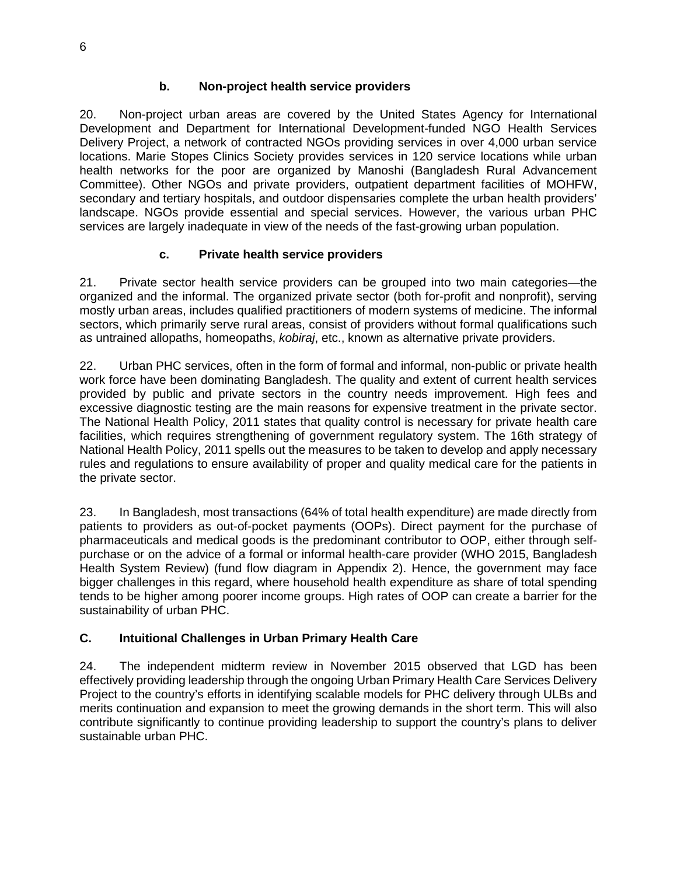## **b. Non-project health service providers**

20. Non-project urban areas are covered by the United States Agency for International Development and Department for International Development-funded NGO Health Services Delivery Project, a network of contracted NGOs providing services in over 4,000 urban service locations. Marie Stopes Clinics Society provides services in 120 service locations while urban health networks for the poor are organized by Manoshi (Bangladesh Rural Advancement Committee). Other NGOs and private providers, outpatient department facilities of MOHFW, secondary and tertiary hospitals, and outdoor dispensaries complete the urban health providers' landscape. NGOs provide essential and special services. However, the various urban PHC services are largely inadequate in view of the needs of the fast-growing urban population.

## **c. Private health service providers**

21. Private sector health service providers can be grouped into two main categories—the organized and the informal. The organized private sector (both for-profit and nonprofit), serving mostly urban areas, includes qualified practitioners of modern systems of medicine. The informal sectors, which primarily serve rural areas, consist of providers without formal qualifications such as untrained allopaths, homeopaths, *kobiraj*, etc., known as alternative private providers.

22. Urban PHC services, often in the form of formal and informal, non-public or private health work force have been dominating Bangladesh. The quality and extent of current health services provided by public and private sectors in the country needs improvement. High fees and excessive diagnostic testing are the main reasons for expensive treatment in the private sector. The National Health Policy, 2011 states that quality control is necessary for private health care facilities, which requires strengthening of government regulatory system. The 16th strategy of National Health Policy, 2011 spells out the measures to be taken to develop and apply necessary rules and regulations to ensure availability of proper and quality medical care for the patients in the private sector.

23. In Bangladesh, most transactions (64% of total health expenditure) are made directly from patients to providers as out-of-pocket payments (OOPs). Direct payment for the purchase of pharmaceuticals and medical goods is the predominant contributor to OOP, either through selfpurchase or on the advice of a formal or informal health-care provider (WHO 2015, Bangladesh Health System Review) (fund flow diagram in Appendix 2). Hence, the government may face bigger challenges in this regard, where household health expenditure as share of total spending tends to be higher among poorer income groups. High rates of OOP can create a barrier for the sustainability of urban PHC.

## **C. Intuitional Challenges in Urban Primary Health Care**

24. The independent midterm review in November 2015 observed that LGD has been effectively providing leadership through the ongoing Urban Primary Health Care Services Delivery Project to the country's efforts in identifying scalable models for PHC delivery through ULBs and merits continuation and expansion to meet the growing demands in the short term. This will also contribute significantly to continue providing leadership to support the country's plans to deliver sustainable urban PHC.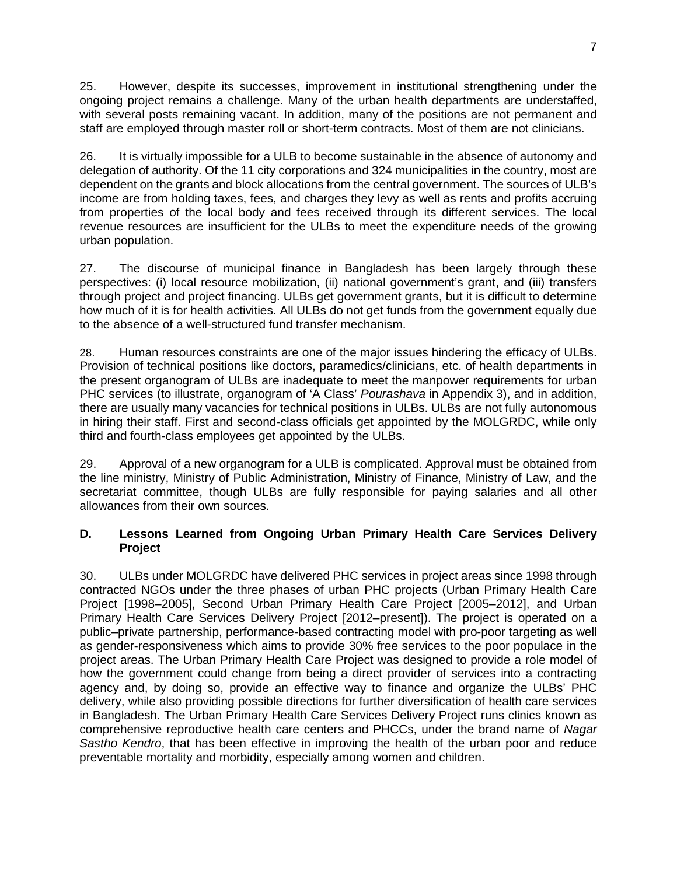25. However, despite its successes, improvement in institutional strengthening under the ongoing project remains a challenge. Many of the urban health departments are understaffed, with several posts remaining vacant. In addition, many of the positions are not permanent and staff are employed through master roll or short-term contracts. Most of them are not clinicians.

26. It is virtually impossible for a ULB to become sustainable in the absence of autonomy and delegation of authority. Of the 11 city corporations and 324 municipalities in the country, most are dependent on the grants and block allocations from the central government. The sources of ULB's income are from holding taxes, fees, and charges they levy as well as rents and profits accruing from properties of the local body and fees received through its different services. The local revenue resources are insufficient for the ULBs to meet the expenditure needs of the growing urban population.

27. The discourse of municipal finance in Bangladesh has been largely through these perspectives: (i) local resource mobilization, (ii) national government's grant, and (iii) transfers through project and project financing. ULBs get government grants, but it is difficult to determine how much of it is for health activities. All ULBs do not get funds from the government equally due to the absence of a well-structured fund transfer mechanism.

28. Human resources constraints are one of the major issues hindering the efficacy of ULBs. Provision of technical positions like doctors, paramedics/clinicians, etc. of health departments in the present organogram of ULBs are inadequate to meet the manpower requirements for urban PHC services (to illustrate, organogram of 'A Class' *Pourashava* in Appendix 3), and in addition, there are usually many vacancies for technical positions in ULBs. ULBs are not fully autonomous in hiring their staff. First and second-class officials get appointed by the MOLGRDC, while only third and fourth-class employees get appointed by the ULBs.

29. Approval of a new organogram for a ULB is complicated. Approval must be obtained from the line ministry, Ministry of Public Administration, Ministry of Finance, Ministry of Law, and the secretariat committee, though ULBs are fully responsible for paying salaries and all other allowances from their own sources.

#### **D. Lessons Learned from Ongoing Urban Primary Health Care Services Delivery Project**

30. ULBs under MOLGRDC have delivered PHC services in project areas since 1998 through contracted NGOs under the three phases of urban PHC projects (Urban Primary Health Care Project [1998–2005], Second Urban Primary Health Care Project [2005–2012], and Urban Primary Health Care Services Delivery Project [2012–present]). The project is operated on a public–private partnership, performance-based contracting model with pro-poor targeting as well as gender-responsiveness which aims to provide 30% free services to the poor populace in the project areas. The Urban Primary Health Care Project was designed to provide a role model of how the government could change from being a direct provider of services into a contracting agency and, by doing so, provide an effective way to finance and organize the ULBs' PHC delivery, while also providing possible directions for further diversification of health care services in Bangladesh. The Urban Primary Health Care Services Delivery Project runs clinics known as comprehensive reproductive health care centers and PHCCs, under the brand name of *Nagar Sastho Kendro*, that has been effective in improving the health of the urban poor and reduce preventable mortality and morbidity, especially among women and children.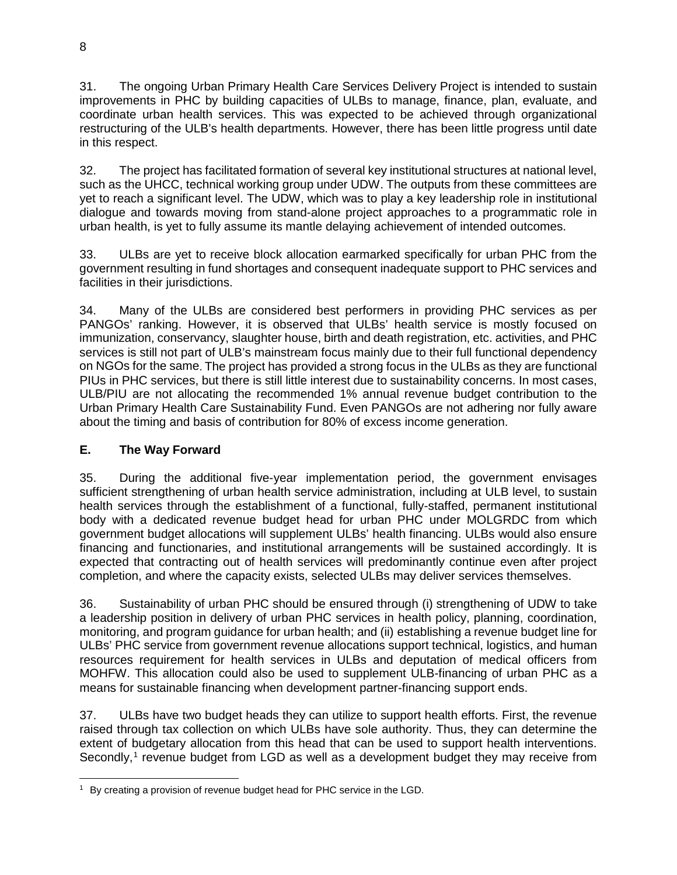31. The ongoing Urban Primary Health Care Services Delivery Project is intended to sustain improvements in PHC by building capacities of ULBs to manage, finance, plan, evaluate, and coordinate urban health services. This was expected to be achieved through organizational restructuring of the ULB's health departments. However, there has been little progress until date in this respect.

32. The project has facilitated formation of several key institutional structures at national level, such as the UHCC, technical working group under UDW. The outputs from these committees are yet to reach a significant level. The UDW, which was to play a key leadership role in institutional dialogue and towards moving from stand-alone project approaches to a programmatic role in urban health, is yet to fully assume its mantle delaying achievement of intended outcomes.

33. ULBs are yet to receive block allocation earmarked specifically for urban PHC from the government resulting in fund shortages and consequent inadequate support to PHC services and facilities in their jurisdictions.

34. Many of the ULBs are considered best performers in providing PHC services as per PANGOs' ranking. However, it is observed that ULBs' health service is mostly focused on immunization, conservancy, slaughter house, birth and death registration, etc. activities, and PHC services is still not part of ULB's mainstream focus mainly due to their full functional dependency on NGOs for the same. The project has provided a strong focus in the ULBs as they are functional PIUs in PHC services, but there is still little interest due to sustainability concerns. In most cases, ULB/PIU are not allocating the recommended 1% annual revenue budget contribution to the Urban Primary Health Care Sustainability Fund. Even PANGOs are not adhering nor fully aware about the timing and basis of contribution for 80% of excess income generation.

## **E. The Way Forward**

35. During the additional five-year implementation period, the government envisages sufficient strengthening of urban health service administration, including at ULB level, to sustain health services through the establishment of a functional, fully-staffed, permanent institutional body with a dedicated revenue budget head for urban PHC under MOLGRDC from which government budget allocations will supplement ULBs' health financing. ULBs would also ensure financing and functionaries, and institutional arrangements will be sustained accordingly. It is expected that contracting out of health services will predominantly continue even after project completion, and where the capacity exists, selected ULBs may deliver services themselves.

36. Sustainability of urban PHC should be ensured through (i) strengthening of UDW to take a leadership position in delivery of urban PHC services in health policy, planning, coordination, monitoring, and program guidance for urban health; and (ii) establishing a revenue budget line for ULBs' PHC service from government revenue allocations support technical, logistics, and human resources requirement for health services in ULBs and deputation of medical officers from MOHFW. This allocation could also be used to supplement ULB-financing of urban PHC as a means for sustainable financing when development partner-financing support ends.

37. ULBs have two budget heads they can utilize to support health efforts. First, the revenue raised through tax collection on which ULBs have sole authority. Thus, they can determine the extent of budgetary allocation from this head that can be used to support health interventions. Secondly,<sup>[1](#page-7-0)</sup> revenue budget from LGD as well as a development budget they may receive from

<span id="page-7-0"></span><sup>&</sup>lt;sup>1</sup> By creating a provision of revenue budget head for PHC service in the LGD.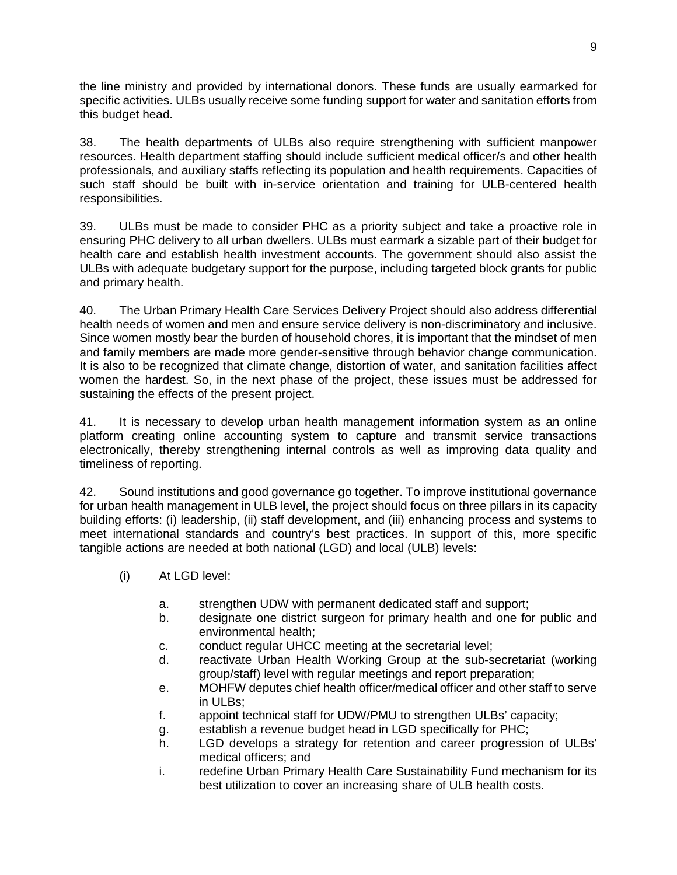the line ministry and provided by international donors. These funds are usually earmarked for specific activities. ULBs usually receive some funding support for water and sanitation efforts from this budget head.

38. The health departments of ULBs also require strengthening with sufficient manpower resources. Health department staffing should include sufficient medical officer/s and other health professionals, and auxiliary staffs reflecting its population and health requirements. Capacities of such staff should be built with in-service orientation and training for ULB-centered health responsibilities.

39. ULBs must be made to consider PHC as a priority subject and take a proactive role in ensuring PHC delivery to all urban dwellers. ULBs must earmark a sizable part of their budget for health care and establish health investment accounts. The government should also assist the ULBs with adequate budgetary support for the purpose, including targeted block grants for public and primary health.

40. The Urban Primary Health Care Services Delivery Project should also address differential health needs of women and men and ensure service delivery is non-discriminatory and inclusive. Since women mostly bear the burden of household chores, it is important that the mindset of men and family members are made more gender-sensitive through behavior change communication. It is also to be recognized that climate change, distortion of water, and sanitation facilities affect women the hardest. So, in the next phase of the project, these issues must be addressed for sustaining the effects of the present project.

41. It is necessary to develop urban health management information system as an online platform creating online accounting system to capture and transmit service transactions electronically, thereby strengthening internal controls as well as improving data quality and timeliness of reporting.

42. Sound institutions and good governance go together. To improve institutional governance for urban health management in ULB level, the project should focus on three pillars in its capacity building efforts: (i) leadership, (ii) staff development, and (iii) enhancing process and systems to meet international standards and country's best practices. In support of this, more specific tangible actions are needed at both national (LGD) and local (ULB) levels:

- (i) At LGD level:
	- a. strengthen UDW with permanent dedicated staff and support;
	- b. designate one district surgeon for primary health and one for public and environmental health;
	- c. conduct regular UHCC meeting at the secretarial level;
	- d. reactivate Urban Health Working Group at the sub-secretariat (working group/staff) level with regular meetings and report preparation;
	- e. MOHFW deputes chief health officer/medical officer and other staff to serve in ULBs;
	- f. appoint technical staff for UDW/PMU to strengthen ULBs' capacity;
	- g. establish a revenue budget head in LGD specifically for PHC;
	- h. LGD develops a strategy for retention and career progression of ULBs' medical officers; and
	- i. redefine Urban Primary Health Care Sustainability Fund mechanism for its best utilization to cover an increasing share of ULB health costs.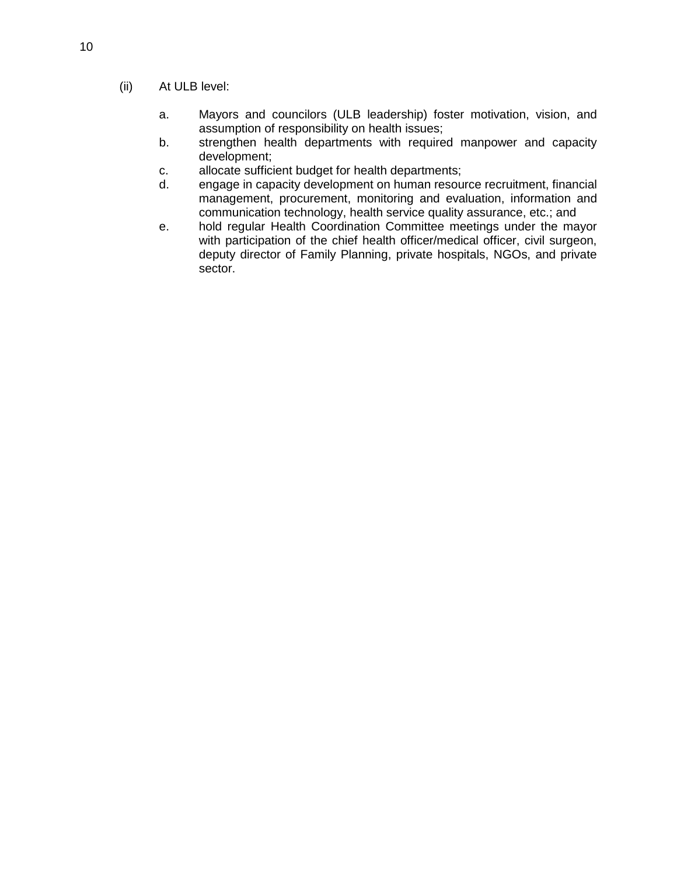- (ii) At ULB level:
	- a. Mayors and councilors (ULB leadership) foster motivation, vision, and assumption of responsibility on health issues;
	- b. strengthen health departments with required manpower and capacity development;
	- c. allocate sufficient budget for health departments;
	- d. engage in capacity development on human resource recruitment, financial management, procurement, monitoring and evaluation, information and communication technology, health service quality assurance, etc.; and
	- e. hold regular Health Coordination Committee meetings under the mayor with participation of the chief health officer/medical officer, civil surgeon, deputy director of Family Planning, private hospitals, NGOs, and private sector.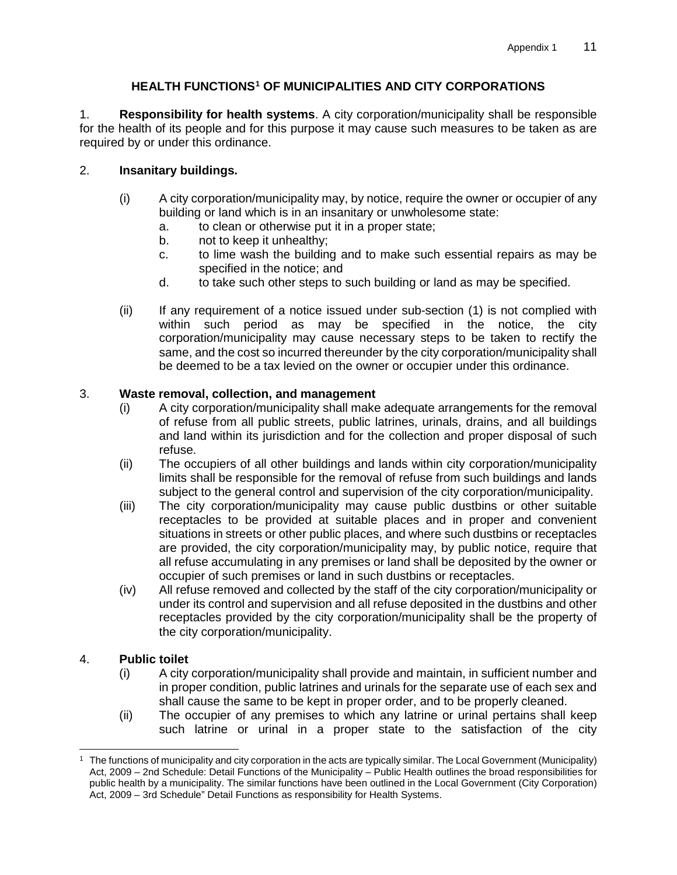## **HEALTH FUNCTIONS[1](#page-10-0) OF MUNICIPALITIES AND CITY CORPORATIONS**

1. **Responsibility for health systems**. A city corporation/municipality shall be responsible for the health of its people and for this purpose it may cause such measures to be taken as are required by or under this ordinance.

## 2. **Insanitary buildings.**

- (i) A city corporation/municipality may, by notice, require the owner or occupier of any building or land which is in an insanitary or unwholesome state:
	- a. to clean or otherwise put it in a proper state;
	- b. not to keep it unhealthy;
	- c. to lime wash the building and to make such essential repairs as may be specified in the notice; and
	- d. to take such other steps to such building or land as may be specified.
- (ii) If any requirement of a notice issued under sub-section (1) is not complied with within such period as may be specified in the notice, the city corporation/municipality may cause necessary steps to be taken to rectify the same, and the cost so incurred thereunder by the city corporation/municipality shall be deemed to be a tax levied on the owner or occupier under this ordinance.

#### 3. **Waste removal, collection, and management**

- (i) A city corporation/municipality shall make adequate arrangements for the removal of refuse from all public streets, public latrines, urinals, drains, and all buildings and land within its jurisdiction and for the collection and proper disposal of such refuse.
- (ii) The occupiers of all other buildings and lands within city corporation/municipality limits shall be responsible for the removal of refuse from such buildings and lands subject to the general control and supervision of the city corporation/municipality.
- (iii) The city corporation/municipality may cause public dustbins or other suitable receptacles to be provided at suitable places and in proper and convenient situations in streets or other public places, and where such dustbins or receptacles are provided, the city corporation/municipality may, by public notice, require that all refuse accumulating in any premises or land shall be deposited by the owner or occupier of such premises or land in such dustbins or receptacles.
- (iv) All refuse removed and collected by the staff of the city corporation/municipality or under its control and supervision and all refuse deposited in the dustbins and other receptacles provided by the city corporation/municipality shall be the property of the city corporation/municipality.

#### 4. **Public toilet**

- (i) A city corporation/municipality shall provide and maintain, in sufficient number and in proper condition, public latrines and urinals for the separate use of each sex and shall cause the same to be kept in proper order, and to be properly cleaned.
- (ii) The occupier of any premises to which any latrine or urinal pertains shall keep such latrine or urinal in a proper state to the satisfaction of the city

<span id="page-10-0"></span> <sup>1</sup> The functions of municipality and city corporation in the acts are typically similar. The Local Government (Municipality) Act, 2009 – 2nd Schedule: Detail Functions of the Municipality – Public Health outlines the broad responsibilities for public health by a municipality. The similar functions have been outlined in the Local Government (City Corporation) Act, 2009 – 3rd Schedule" Detail Functions as responsibility for Health Systems.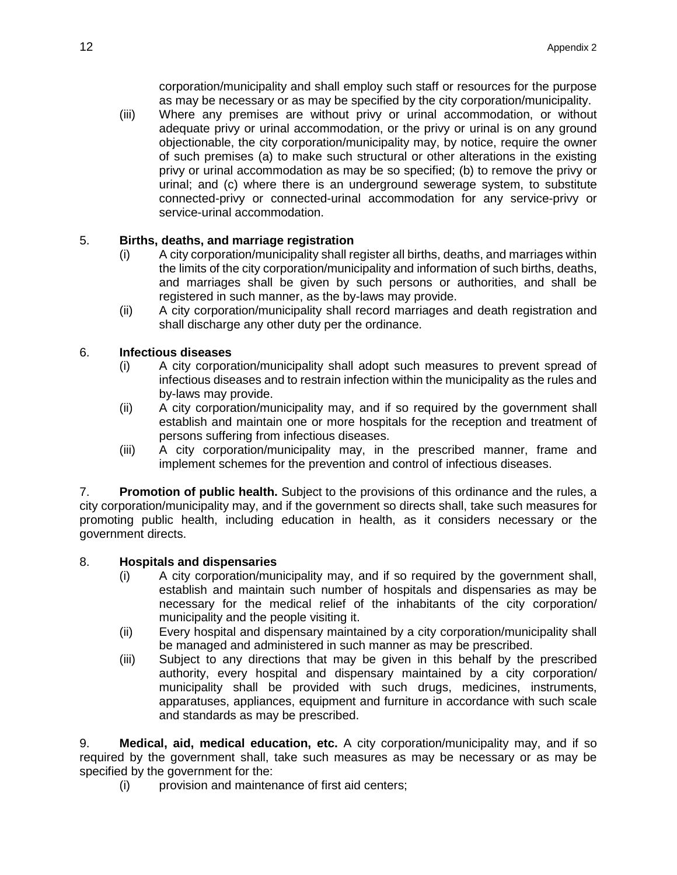corporation/municipality and shall employ such staff or resources for the purpose as may be necessary or as may be specified by the city corporation/municipality.

(iii) Where any premises are without privy or urinal accommodation, or without adequate privy or urinal accommodation, or the privy or urinal is on any ground objectionable, the city corporation/municipality may, by notice, require the owner of such premises (a) to make such structural or other alterations in the existing privy or urinal accommodation as may be so specified; (b) to remove the privy or urinal; and (c) where there is an underground sewerage system, to substitute connected-privy or connected-urinal accommodation for any service-privy or service-urinal accommodation.

## 5. **Births, deaths, and marriage registration**

- (i) A city corporation/municipality shall register all births, deaths, and marriages within the limits of the city corporation/municipality and information of such births, deaths, and marriages shall be given by such persons or authorities, and shall be registered in such manner, as the by-laws may provide.
- (ii) A city corporation/municipality shall record marriages and death registration and shall discharge any other duty per the ordinance.

## 6. **Infectious diseases**

- (i) A city corporation/municipality shall adopt such measures to prevent spread of infectious diseases and to restrain infection within the municipality as the rules and by-laws may provide.
- (ii) A city corporation/municipality may, and if so required by the government shall establish and maintain one or more hospitals for the reception and treatment of persons suffering from infectious diseases.
- (iii) A city corporation/municipality may, in the prescribed manner, frame and implement schemes for the prevention and control of infectious diseases.

7. **Promotion of public health.** Subject to the provisions of this ordinance and the rules, a city corporation/municipality may, and if the government so directs shall, take such measures for promoting public health, including education in health, as it considers necessary or the government directs.

#### 8. **Hospitals and dispensaries**

- (i) A city corporation/municipality may, and if so required by the government shall, establish and maintain such number of hospitals and dispensaries as may be necessary for the medical relief of the inhabitants of the city corporation/ municipality and the people visiting it.
- (ii) Every hospital and dispensary maintained by a city corporation/municipality shall be managed and administered in such manner as may be prescribed.
- (iii) Subject to any directions that may be given in this behalf by the prescribed authority, every hospital and dispensary maintained by a city corporation/ municipality shall be provided with such drugs, medicines, instruments, apparatuses, appliances, equipment and furniture in accordance with such scale and standards as may be prescribed.

9. **Medical, aid, medical education, etc.** A city corporation/municipality may, and if so required by the government shall, take such measures as may be necessary or as may be specified by the government for the:

(i) provision and maintenance of first aid centers;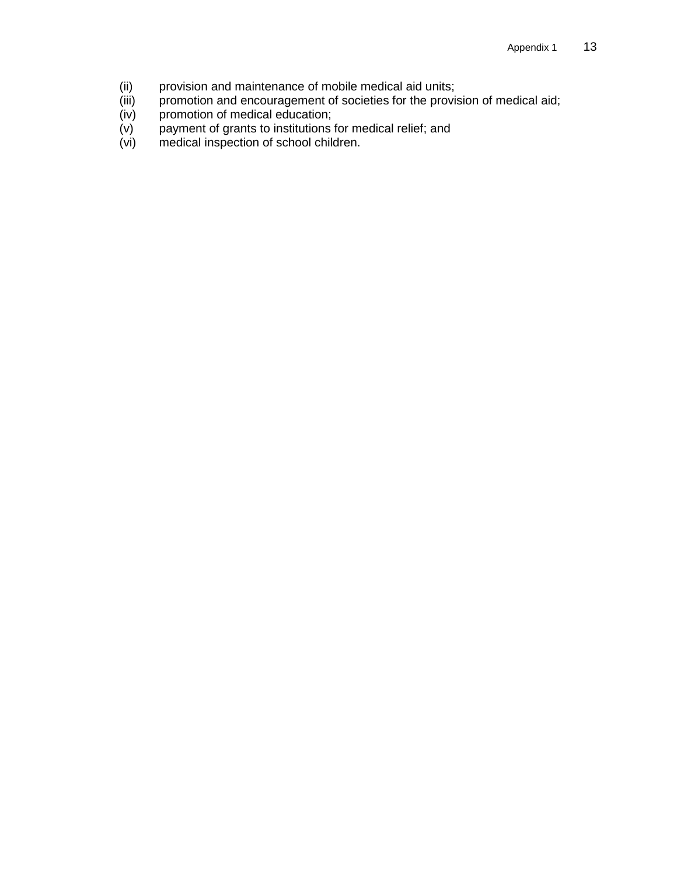- 
- (ii) provision and maintenance of mobile medical aid units;<br>(iii) promotion and encouragement of societies for the provis (iii) promotion and encouragement of societies for the provision of medical aid;
- (iv) promotion of medical education;
- (v) payment of grants to institutions for medical relief; and
- (vi) medical inspection of school children.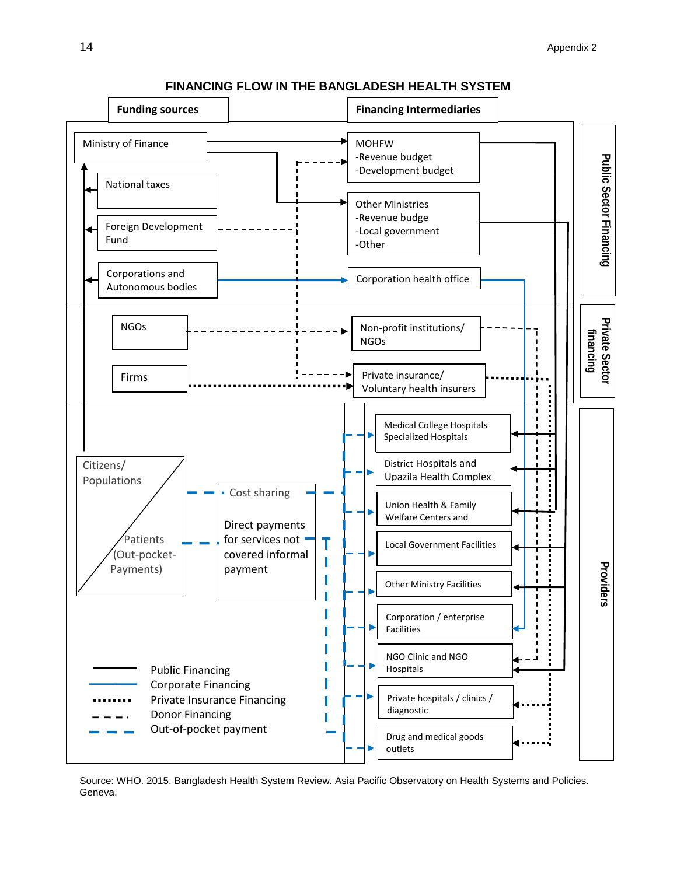

#### **FINANCING FLOW IN THE BANGLADESH HEALTH SYSTEM**

Source: WHO. 2015. Bangladesh Health System Review. Asia Pacific Observatory on Health Systems and Policies. Geneva.